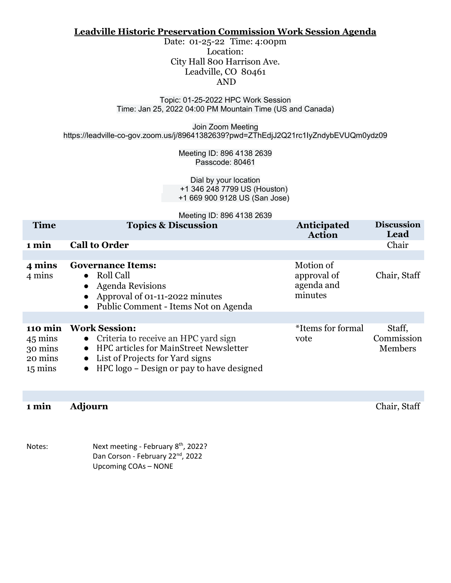#### **Leadville Historic Preservation Commission Work Session Agenda**

Date: 01-25-22 Time: 4:00pm Location: City Hall 800 Harrison Ave. Leadville, CO 80461 AND

#### Topic: 01-25-2022 HPC Work Session Time: Jan 25, 2022 04:00 PM Mountain Time (US and Canada)

Join Zoom Meeting https://leadville-co-gov.zoom.us/j/89641382639?pwd=ZThEdjJ2Q21rc1IyZndybEVUQm0ydz09

> Meeting ID: 896 4138 2639 Passcode: 80461

Dial by your location +1 346 248 7799 US (Houston) +1 669 900 9128 US (San Jose)

|                                                               | Meeting ID: 896 4138 2639                                                                                                                                                                                    |                                                   |                                        |
|---------------------------------------------------------------|--------------------------------------------------------------------------------------------------------------------------------------------------------------------------------------------------------------|---------------------------------------------------|----------------------------------------|
| <b>Time</b>                                                   | <b>Topics &amp; Discussion</b>                                                                                                                                                                               | Anticipated<br><b>Action</b>                      | <b>Discussion</b><br>Lead              |
| 1 min                                                         | <b>Call to Order</b>                                                                                                                                                                                         |                                                   | Chair                                  |
|                                                               |                                                                                                                                                                                                              |                                                   |                                        |
| 4 mins<br>4 mins                                              | <b>Governance Items:</b><br>Roll Call<br>$\bullet$<br><b>Agenda Revisions</b><br>Approval of 01-11-2022 minutes<br>Public Comment - Items Not on Agenda                                                      | Motion of<br>approval of<br>agenda and<br>minutes | Chair, Staff                           |
|                                                               |                                                                                                                                                                                                              |                                                   |                                        |
| 110 min<br>45 mins<br>30 mins<br>20 mins<br>$15 \text{ mins}$ | <b>Work Session:</b><br>• Criteria to receive an HPC yard sign<br><b>HPC articles for MainStreet Newsletter</b><br>List of Projects for Yard signs<br>$\bullet$<br>HPC logo – Design or pay to have designed | *Items for formal<br>vote                         | Staff,<br>Commission<br><b>Members</b> |

**1 min Adjourn** Chair, Staff

Notes: Next meeting - February 8<sup>th</sup>, 2022? Dan Corson - February 22<sup>nd</sup>, 2022 Upcoming COAs – NONE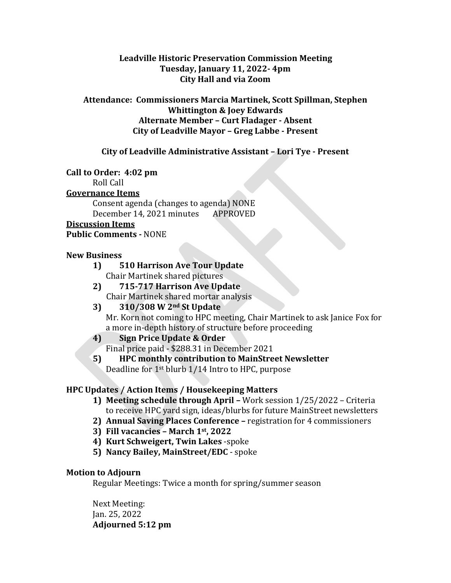### **Leadville Historic Preservation Commission Meeting Tuesday, January 11, 2022- 4pm City Hall and via Zoom**

### **Attendance: Commissioners Marcia Martinek, Scott Spillman, Stephen Whittington & Joey Edwards Alternate Member – Curt Fladager - Absent City of Leadville Mayor – Greg Labbe - Present**

## **City of Leadville Administrative Assistant – Lori Tye - Present**

### **Call to Order: 4:02 pm**

Roll Call

### **Governance Items**

Consent agenda (changes to agenda) NONE December 14, 2021 minutes APPROVED

### **Discussion Items**

### **Public Comments -** NONE

### **New Business**

- **1) 510 Harrison Ave Tour Update** Chair Martinek shared pictures
- **2) 715-717 Harrison Ave Update**
- **Chair Martinek shared mortar analysis**<br>**3) 310/308 W 2<sup>nd</sup> St Update 3) 310/308 W 2nd St Update** Mr. Korn not coming to HPC meeting, Chair Martinek to ask Janice Fox for a more in-depth history of structure before proceeding
- **4) Sign Price Update & Order** Final price paid - \$288.31 in December 2021
- **5) HPC monthly contribution to MainStreet Newsletter** Deadline for 1st blurb 1/14 Intro to HPC, purpose

# **HPC Updates / Action Items / Housekeeping Matters**

- **1) Meeting schedule through April –** Work session 1/25/2022 Criteria to receive HPC yard sign, ideas/blurbs for future MainStreet newsletters
- **2) Annual Saving Places Conference –** registration for 4 commissioners
- **3) Fill vacancies – March 1st, 2022**
- **4) Kurt Schweigert, Twin Lakes** -spoke
- **5) Nancy Bailey, MainStreet/EDC**  spoke

# **Motion to Adjourn**

Regular Meetings: Twice a month for spring/summer season

Next Meeting: Jan. 25, 2022 **Adjourned 5:12 pm**